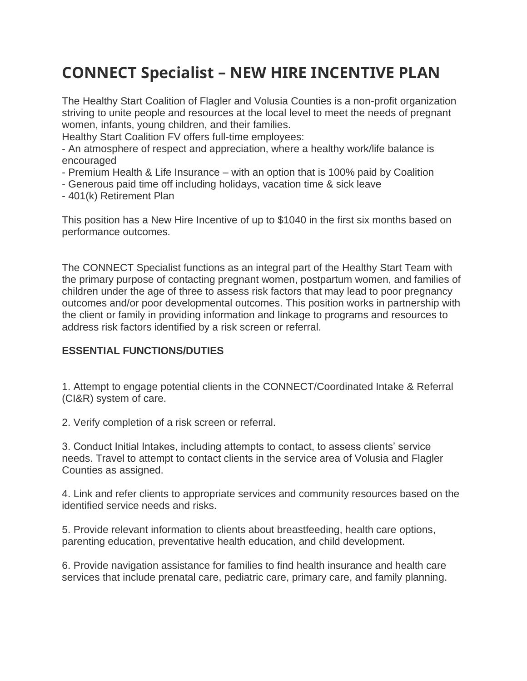# **CONNECT Specialist – NEW HIRE INCENTIVE PLAN**

The Healthy Start Coalition of Flagler and Volusia Counties is a non-profit organization striving to unite people and resources at the local level to meet the needs of pregnant women, infants, young children, and their families.

Healthy Start Coalition FV offers full-time employees:

- An atmosphere of respect and appreciation, where a healthy work/life balance is encouraged

- Premium Health & Life Insurance with an option that is 100% paid by Coalition
- Generous paid time off including holidays, vacation time & sick leave
- 401(k) Retirement Plan

This position has a New Hire Incentive of up to \$1040 in the first six months based on performance outcomes.

The CONNECT Specialist functions as an integral part of the Healthy Start Team with the primary purpose of contacting pregnant women, postpartum women, and families of children under the age of three to assess risk factors that may lead to poor pregnancy outcomes and/or poor developmental outcomes. This position works in partnership with the client or family in providing information and linkage to programs and resources to address risk factors identified by a risk screen or referral.

#### **ESSENTIAL FUNCTIONS/DUTIES**

1. Attempt to engage potential clients in the CONNECT/Coordinated Intake & Referral (CI&R) system of care.

2. Verify completion of a risk screen or referral.

3. Conduct Initial Intakes, including attempts to contact, to assess clients' service needs. Travel to attempt to contact clients in the service area of Volusia and Flagler Counties as assigned.

4. Link and refer clients to appropriate services and community resources based on the identified service needs and risks.

5. Provide relevant information to clients about breastfeeding, health care options, parenting education, preventative health education, and child development.

6. Provide navigation assistance for families to find health insurance and health care services that include prenatal care, pediatric care, primary care, and family planning.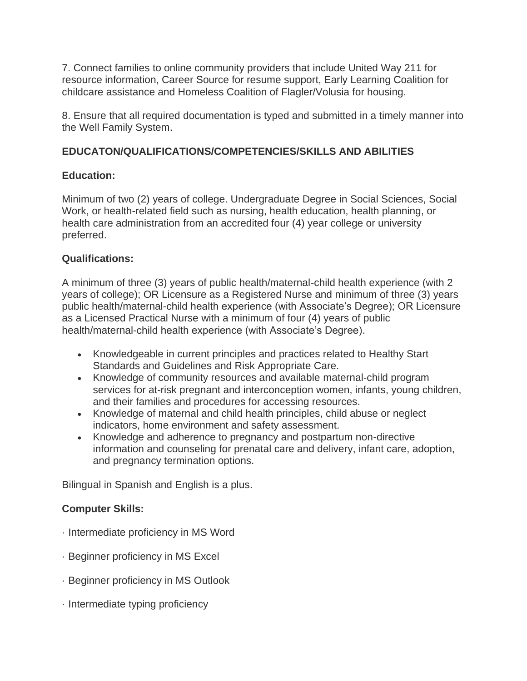7. Connect families to online community providers that include United Way 211 for resource information, Career Source for resume support, Early Learning Coalition for childcare assistance and Homeless Coalition of Flagler/Volusia for housing.

8. Ensure that all required documentation is typed and submitted in a timely manner into the Well Family System.

# **EDUCATON/QUALIFICATIONS/COMPETENCIES/SKILLS AND ABILITIES**

### **Education:**

Minimum of two (2) years of college. Undergraduate Degree in Social Sciences, Social Work, or health-related field such as nursing, health education, health planning, or health care administration from an accredited four (4) year college or university preferred.

### **Qualifications:**

A minimum of three (3) years of public health/maternal-child health experience (with 2 years of college); OR Licensure as a Registered Nurse and minimum of three (3) years public health/maternal-child health experience (with Associate's Degree); OR Licensure as a Licensed Practical Nurse with a minimum of four (4) years of public health/maternal-child health experience (with Associate's Degree).

- Knowledgeable in current principles and practices related to Healthy Start Standards and Guidelines and Risk Appropriate Care.
- Knowledge of community resources and available maternal-child program services for at-risk pregnant and interconception women, infants, young children, and their families and procedures for accessing resources.
- Knowledge of maternal and child health principles, child abuse or neglect indicators, home environment and safety assessment.
- Knowledge and adherence to pregnancy and postpartum non-directive information and counseling for prenatal care and delivery, infant care, adoption, and pregnancy termination options.

Bilingual in Spanish and English is a plus.

# **Computer Skills:**

- · Intermediate proficiency in MS Word
- · Beginner proficiency in MS Excel
- · Beginner proficiency in MS Outlook
- · Intermediate typing proficiency